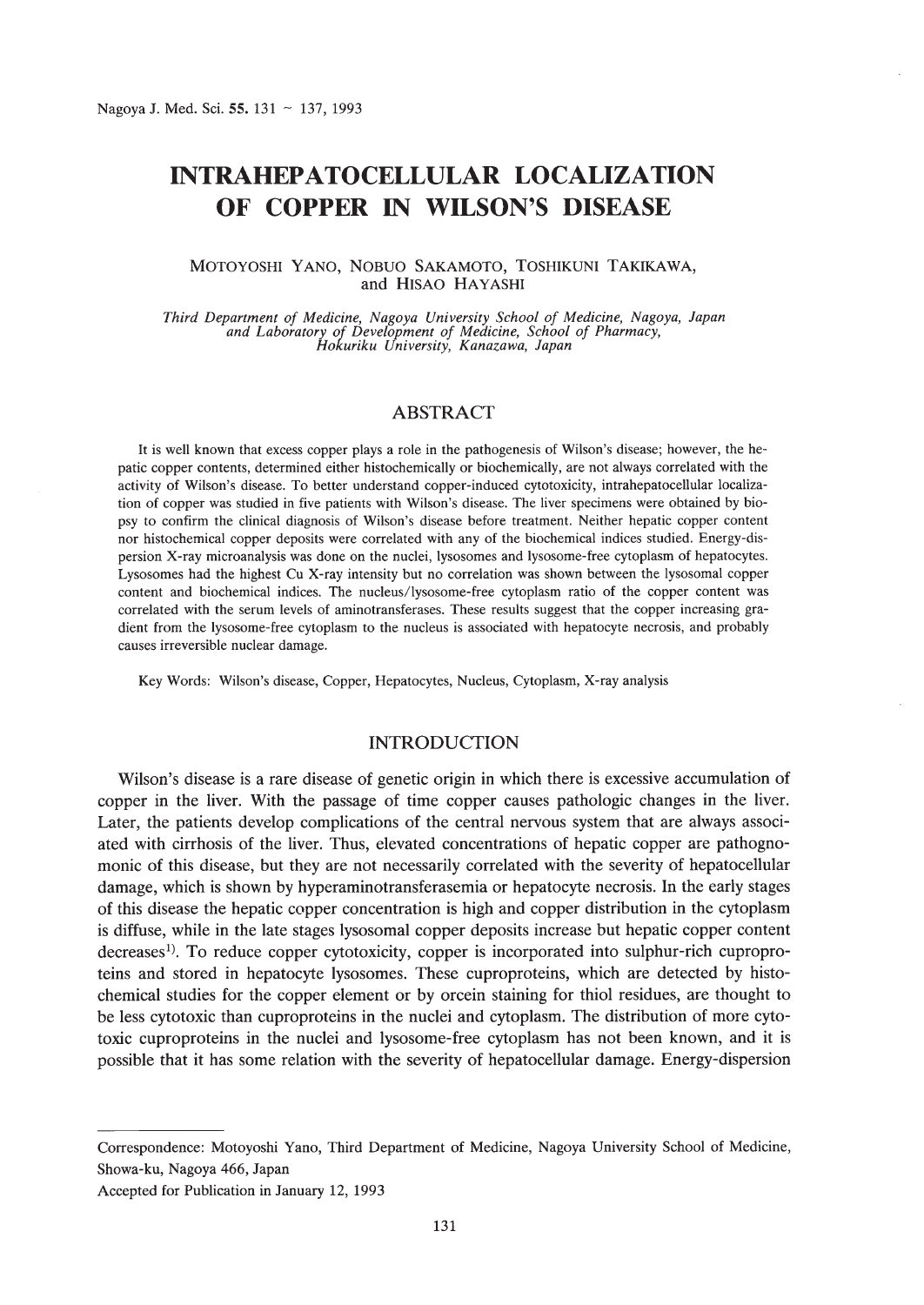# **INTRAHEPATOCELLULAR LOCALIZATION OF COPPER IN WILSON'S DISEASE**

### MOTOYOSHI YANO, NOBUO SAKAMOTO, TOSHIKUNI TAKIKAWA, and HISAO HAYASHI

*Third Department of Medicine, Nagoya University School of Medicine, Nagoya, Japan and Laboratory of Development of Medicine, School of Pharmacy, Hokuriku University, Kanazawa, Japan*

# ABSTRACT

It is well known that excess copper plays a role in the pathogenesis of Wilson's disease; however, the hepatic copper contents, determined either histochemically or biochemically, are not always correlated with the activity of Wilson's disease. To better understand copper-induced cytotoxicity, intrahepatocellular localization of copper was studied in five patients with Wilson's disease. The liver specimens were obtained by biopsy to confirm the clinical diagnosis of Wilson's disease before treatment. Neither hepatic copper content nor histochemical copper deposits were correlated with any of the biochemical indices studied. Energy-dispersion X-ray microanalysis was done on the nuclei, lysosomes and lysosome-free cytoplasm of hepatocytes. Lysosomes had the highest Cu X-ray intensity but no correlation was shown between the lysosomal copper content and biochemical indices. The nucleus/lysosome-free cytoplasm ratio of the copper content was correlated with the serum levels of aminotransferases. These results suggest that the copper increasing gradient from the lysosome-free cytoplasm to the nucleus is associated with hepatocyte necrosis, and probably causes irreversible nuclear damage.

Key Words: Wilson's disease, Copper, Hepatocytes, Nucleus, Cytoplasm, X-ray analysis

## INTRODUCTION

Wilson's disease is a rare disease of genetic origin in which there is excessive accumulation of copper in the liver. With the passage of time copper causes pathologic changes in the liver. Later, the patients develop complications of the central nervous system that are always associated with cirrhosis of the liver. Thus, elevated concentrations of hepatic copper are pathognomonic of this disease, but they are not necessarily correlated with the severity of hepatocellular damage, which is shown by hyperaminotransferasemia or hepatocyte necrosis. In the early stages of this disease the hepatic copper concentration is high and copper distribution in the cytoplasm is diffuse, while in the late stages lysosomal copper deposits increase but hepatic copper content decreases!). To reduce copper cytotoxicity, copper is incorporated into sulphur-rich cuproproteins and stored in hepatocyte Iysosomes. These cuproproteins, which are detected by histochemical studies for the copper element or by orcein staining for thiol residues, are thought to be less cytotoxic than cuproproteins in the nuclei and cytoplasm. The distribution of more cytotoxic cuproproteins in the nuclei and lysosome-free cytoplasm has not been known, and it is possible that it has some relation with the severity of hepatocellular damage. Energy-dispersion

Correspondence: Motoyoshi Yano, Third Department of Medicine, Nagoya University School of Medicine, Showa-ku, Nagoya 466, Japan

Accepted for Publication in January 12, 1993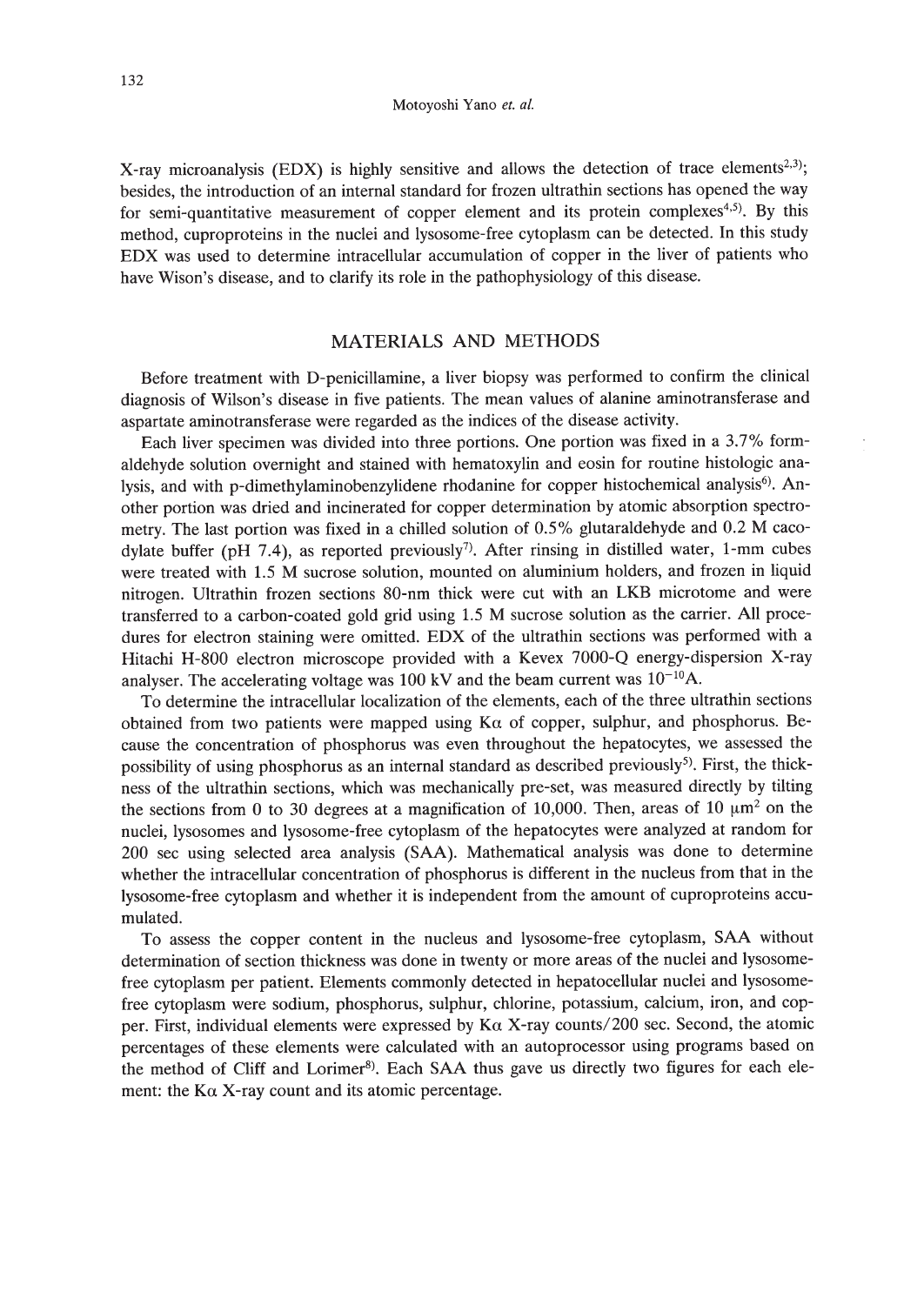X-ray microanalysis (EDX) is highly sensitive and allows the detection of trace elements<sup>2,3)</sup>; besides, the introduction of an internal standard for frozen ultrathin sections has opened the way for semi-quantitative measurement of copper element and its protein complexes<sup>4,5</sup>). By this method, cuproproteins in the nuclei and lysosome-free cytoplasm can be detected. In this study EDX was used to determine intracellular accumulation of copper in the liver of patients who have Wison's disease, and to clarify its role in the pathophysiology of this disease.

# MATERIALS AND METHODS

Before treatment with D-penicillamine, a liver biopsy was performed to confirm the clinical diagnosis of Wilson's disease in five patients. The mean values of alanine aminotransferase and aspartate aminotransferase were regarded as the indices of the disease activity.

Each liver specimen was divided into three portions. One portion was fixed in a 3.7% formaldehyde solution overnight and stained with hematoxylin and eosin for routine histologic analysis, and with p-dimethylaminobenzylidene rhodanine for copper histochemical analysis<sup>6)</sup>. Another portion was dried and incinerated for copper determination by atomic absorption spectrometry. The last portion was fixed in a chilled solution of 0.5% glutaraldehyde and 0.2 M cacodylate buffer (pH 7.4), as reported previously<sup>7)</sup>. After rinsing in distilled water, 1-mm cubes were treated with 1.5 M sucrose solution, mounted on aluminium holders, and frozen in liquid nitrogen. Ultrathin frozen sections 80-nm thick were cut with an LKB microtome and were transferred to a carbon-coated gold grid using 1.5 M sucrose solution as the carrier. All procedures for electron staining were omitted. EDX of the ultrathin sections was performed with a Hitachi H-800 electron microscope provided with a Kevex 7000-0 energy-dispersion X-ray analyser. The accelerating voltage was 100 kV and the beam current was  $10^{-10}$ A.

To determine the intracellular localization of the elements, each of the three ultrathin sections obtained from two patients were mapped using  $K\alpha$  of copper, sulphur, and phosphorus. Because the concentration of phosphorus was even throughout the hepatocytes, we assessed the possibility of using phosphorus as an internal standard as described previously<sup>5)</sup>. First, the thickness of the ultrathin sections, which was mechanically pre-set, was measured directly by tilting the sections from 0 to 30 degrees at a magnification of 10,000. Then, areas of 10  $\mu$ m<sup>2</sup> on the nuclei, lysosomes and lysosome-free cytoplasm of the hepatocytes were analyzed at random for 200 sec using selected area analysis (SAA). Mathematical analysis was done to determine whether the intracellular concentration of phosphorus is different in the nucleus from that in the lysosome-free cytoplasm and whether it is independent from the amount of cuproproteins accumulated.

To assess the copper content in the nucleus and lysosome-free cytoplasm, SAA without determination of section thickness was done in twenty or more areas of the nuclei and lysosomefree cytoplasm per patient. Elements commonly detected in hepatocellular nuclei and lysosomefree cytoplasm were sodium, phosphorus, sulphur, chlorine, potassium, calcium, iron, and copper. First, individual elements were expressed by  $K\alpha$  X-ray counts/200 sec. Second, the atomic percentages of these elements were calculated with an autoprocessor using programs based on the method of Cliff and Lorimer<sup>8</sup>). Each SAA thus gave us directly two figures for each element: the  $K\alpha$  X-ray count and its atomic percentage.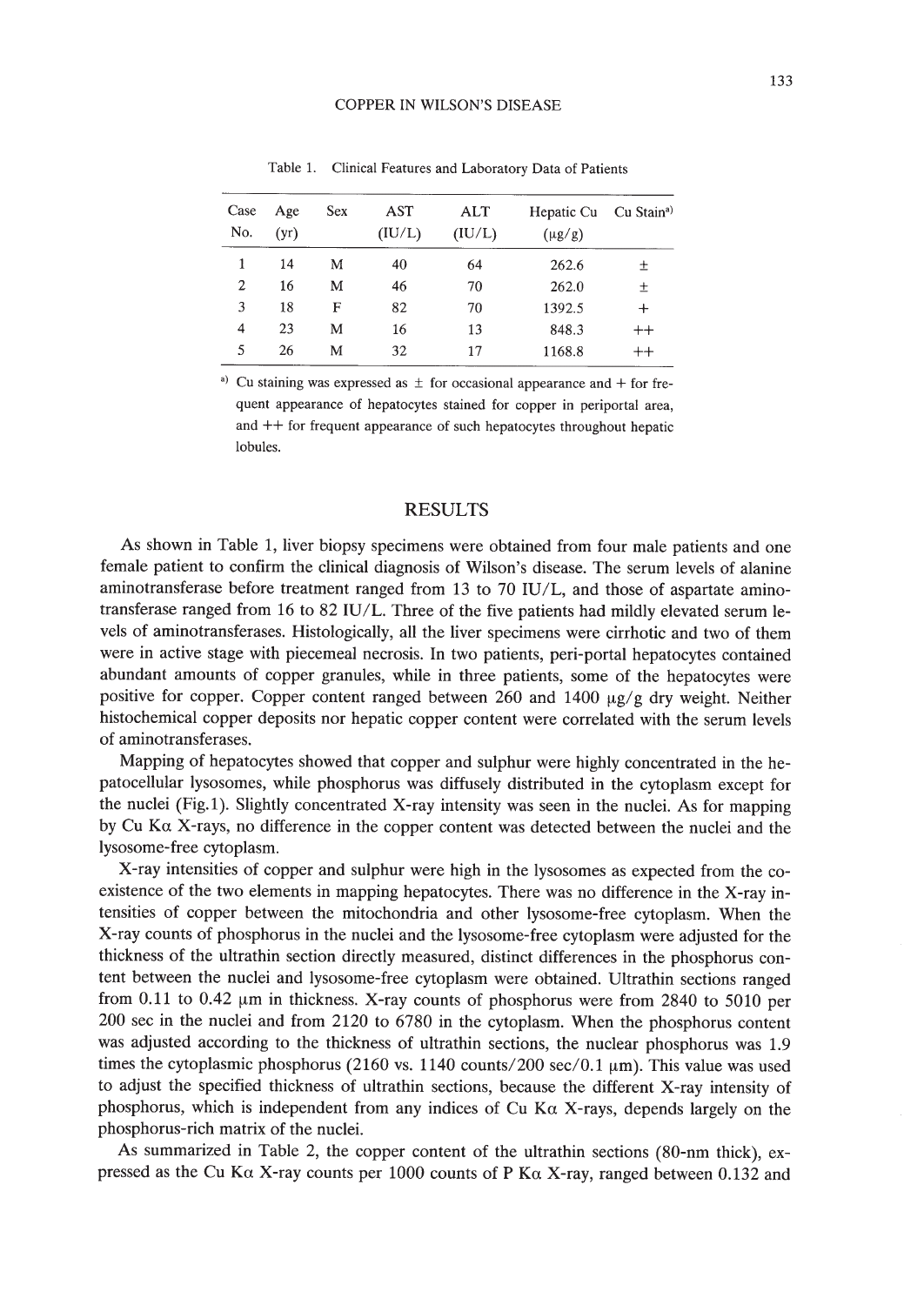| Case<br>No.    | Age<br>(yr) | Sex | AST<br>(IU/L) | ALT<br>(IU/L) | Hepatic Cu<br>$(\mu g/g)$ | Cu Stain <sup>a</sup> |
|----------------|-------------|-----|---------------|---------------|---------------------------|-----------------------|
|                | 14          | M   | 40            | 64            | 262.6                     | 土                     |
| $\overline{2}$ | 16          | м   | 46            | 70            | 262.0                     | 土                     |
| 3              | 18          | F   | 82            | 70            | 1392.5                    | $\ddot{}$             |
| 4              | 23          | М   | 16            | 13            | 848.3                     | $^{++}$               |
| 5              | 26          | М   | 32            | 17            | 1168.8                    | $^{++}$               |

Table 1. Clinical Features and Laboratory Data of Patients

<sup>a)</sup> Cu staining was expressed as  $\pm$  for occasional appearance and + for frequent appearance of hepatocytes stained for copper in periportal area, and ++ for frequent appearance of such hepatocytes throughout hepatic lobules.

#### RESULTS

As shown in Table 1, liver biopsy specimens were obtained from four male patients and one female patient to confirm the clinical diagnosis of Wilson's disease. The serum levels of alanine aminotransferase before treatment ranged from 13 to 70 IU/L, and those of aspartate aminotransferase ranged from 16 to 82 IU/L. Three of the five patients had mildly elevated serum levels of aminotransferases. Histologically, all the liver specimens were cirrhotic and two of them were in active stage with piecemeal necrosis. **In** two patients, peri-portal hepatocytes contained abundant amounts of copper granules, while in three patients, some of the hepatocytes were positive for copper. Copper content ranged between 260 and 1400  $\mu$ g/g dry weight. Neither histochemical copper deposits nor hepatic copper content were correlated with the serum levels of aminotransferases.

Mapping of hepatocytes showed that copper and sulphur were highly concentrated in the hepatocellular lysosomes, while phosphorus was diffusely distributed in the cytoplasm except for the nuclei (Fig.l). Slightly concentrated X-ray intensity was seen in the nuclei. As for mapping by Cu Ka X-rays, no difference in the copper content was detected between the nuclei and the lysosome-free cytoplasm.

X-ray intensities of copper and sulphur were high in the lysosomes as expected from the coexistence of the two elements in mapping hepatocytes. There was no difference in the X-ray intensities of copper between the mitochondria and other lysosome-free cytoplasm. When the X-ray counts of phosphorus in the nuclei and the lysosome-free cytoplasm were adjusted for the thickness of the ultrathin section directly measured, distinct differences in the phosphorus content between the nuclei and lysosome-free cytoplasm were obtained. Ultrathin sections ranged from 0.11 to 0.42  $\mu$ m in thickness. X-ray counts of phosphorus were from 2840 to 5010 per 200 sec in the nuclei and from 2120 to 6780 in the cytoplasm. When the phosphorus content was adjusted according to the thickness of ultrathin sections, the nuclear phosphorus was 1.9 times the cytoplasmic phosphorus (2160 vs.  $1140$  counts/200 sec/0.1  $\mu$ m). This value was used to adjust the specified thickness of ultrathin sections, because the different X-ray intensity of phosphorus, which is independent from any indices of Cu K $\alpha$  X-rays, depends largely on the phosphorus-rich matrix of the nuclei.

As summarized in Table 2, the copper content of the ultrathin sections (80-nm thick), expressed as the Cu K $\alpha$  X-ray counts per 1000 counts of P K $\alpha$  X-ray, ranged between 0.132 and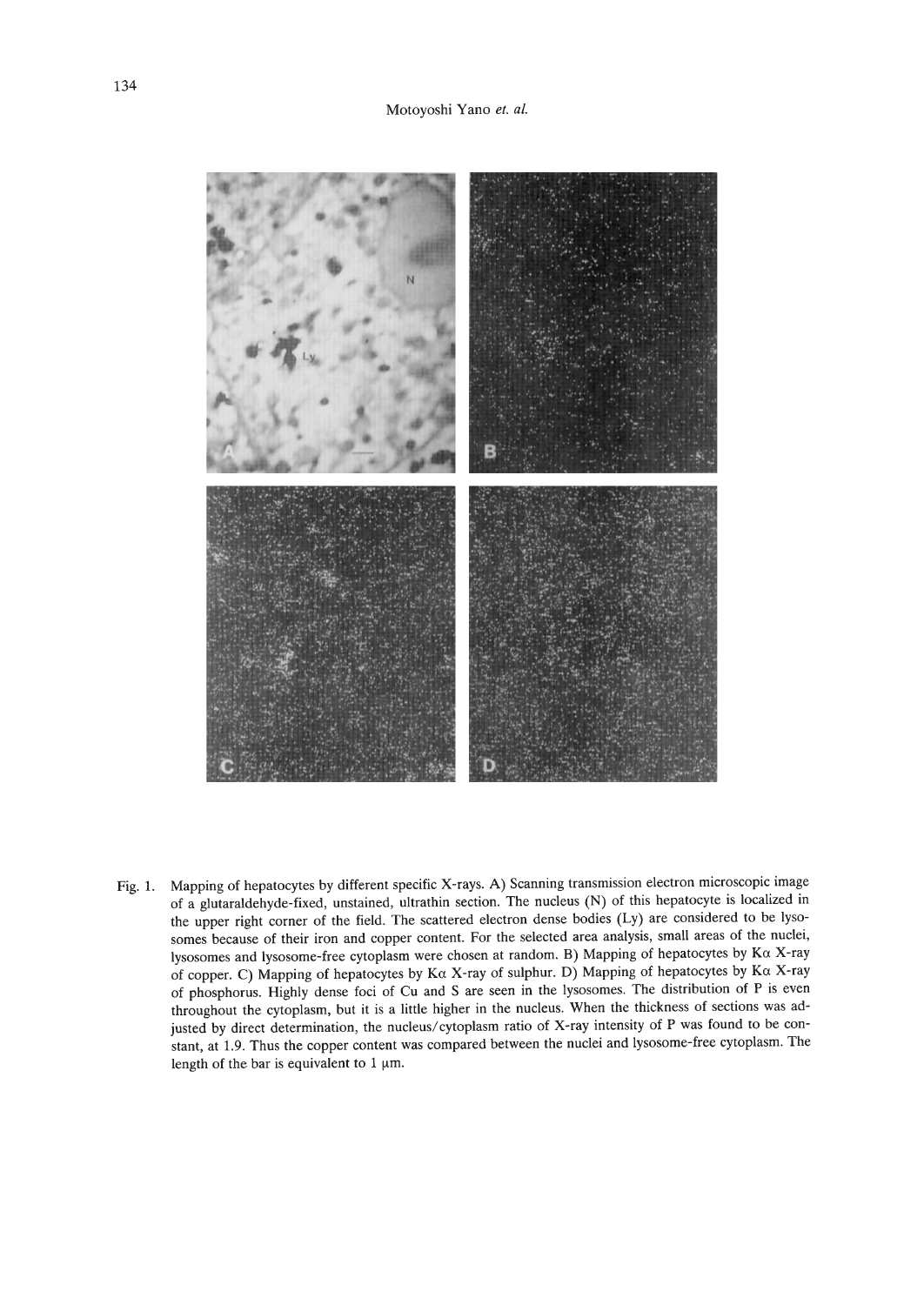

Fig. 1. Mapping of hepatocytes by different specific X-rays. A) Scanning transmission electron microscopic image of a glutaraldehyde-fixed, unstained, ultrathin section. The nucleus (N) of this hepatocyte is localized in the upper right corner of the field. The scattered electron dense bodies (Ly) are considered to be lysosomes because of their iron and copper content. For the selected area analysis, small areas of the nuclei, Iysosomes and lysosome-free cytoplasm were chosen at random. B) Mapping of hepatocytes by Ka X-ray of copper. C) Mapping of hepatocytes by K $\alpha$  X-ray of sulphur. D) Mapping of hepatocytes by K $\alpha$  X-ray of phosphorus. Highly dense foci of Cu and S are seen in the lysosomes. The distribution of P is even throughout the cytoplasm, but it is a little higher in the nucleus. When the thickness of sections was adjusted by direct determination, the nucleus/cytoplasm ratio of X-ray intensity of P was found to be constant, at 1.9. Thus the copper content was compared between the nuclei and lysosome-free cytoplasm. The length of the bar is equivalent to 1  $\mu$ m.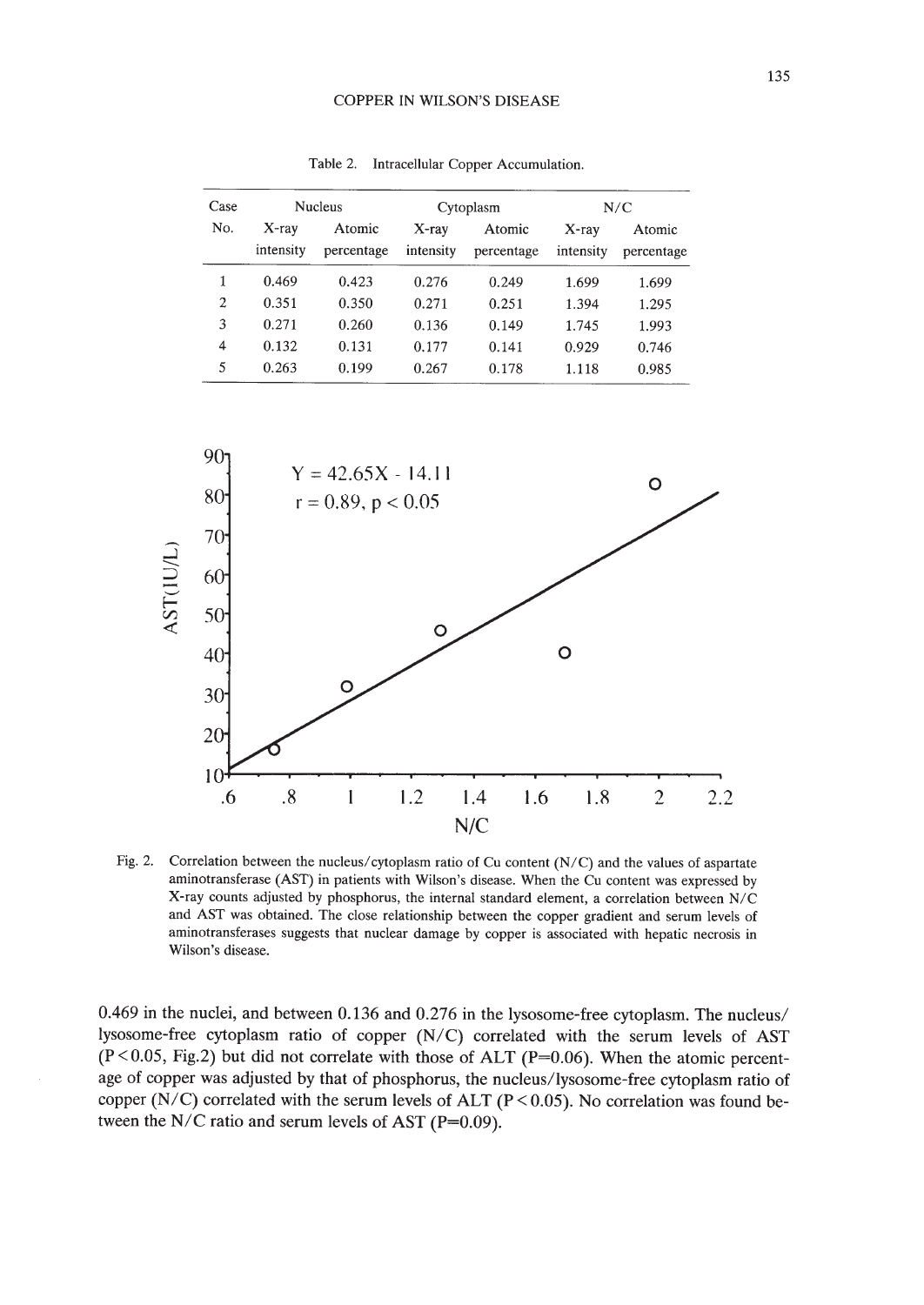#### COPPER IN WILSON'S DISEASE

| Case | <b>Nucleus</b>        |                      | Cytoplasm             |                      | N/C                   |                      |
|------|-----------------------|----------------------|-----------------------|----------------------|-----------------------|----------------------|
| No.  | $X$ -ray<br>intensity | Atomic<br>percentage | $X$ -ray<br>intensity | Atomic<br>percentage | $X$ -ray<br>intensity | Atomic<br>percentage |
| 1    | 0.469                 | 0.423                | 0.276                 | 0.249                | 1.699                 | 1.699                |
| 2    | 0.351                 | 0.350                | 0.271                 | 0.251                | 1.394                 | 1.295                |
| 3    | 0.271                 | 0.260                | 0.136                 | 0.149                | 1.745                 | 1.993                |
| 4    | 0.132                 | 0.131                | 0.177                 | 0.141                | 0.929                 | 0.746                |
| 5    | 0.263                 | 0.199                | 0.267                 | 0.178                | 1.118                 | 0.985                |



Fig. 2. Correlation between the nucleus/cytoplasm ratio of Cu content (N/C) and the values of aspartate aminotransferase (AST) in patients with Wilson's disease. When the Cu content was expressed by X-ray counts adjusted by phosphorus, the internal standard element, a correlation between N/C and AST was obtained. The close relationship between the copper gradient and serum levels of aminotransferases suggests that nuclear damage by copper is associated with hepatic necrosis in Wilson's disease.

0.469 in the nuclei, and between 0.136 and 0.276 in the lysosome-free cytoplasm. The nucleus/ lysosome-free cytoplasm ratio of copper (N/C) correlated with the serum levels of AST  $(P<0.05, Fig.2)$  but did not correlate with those of ALT (P=0.06). When the atomic percentage of copper was adjusted by that of phosphorus, the nucleus/lysosome-free cytoplasm ratio of copper (N/C) correlated with the serum levels of ALT (P < 0.05). No correlation was found between the N/C ratio and serum levels of AST ( $P=0.09$ ).

Table 2. Intracellular Copper Accumulation.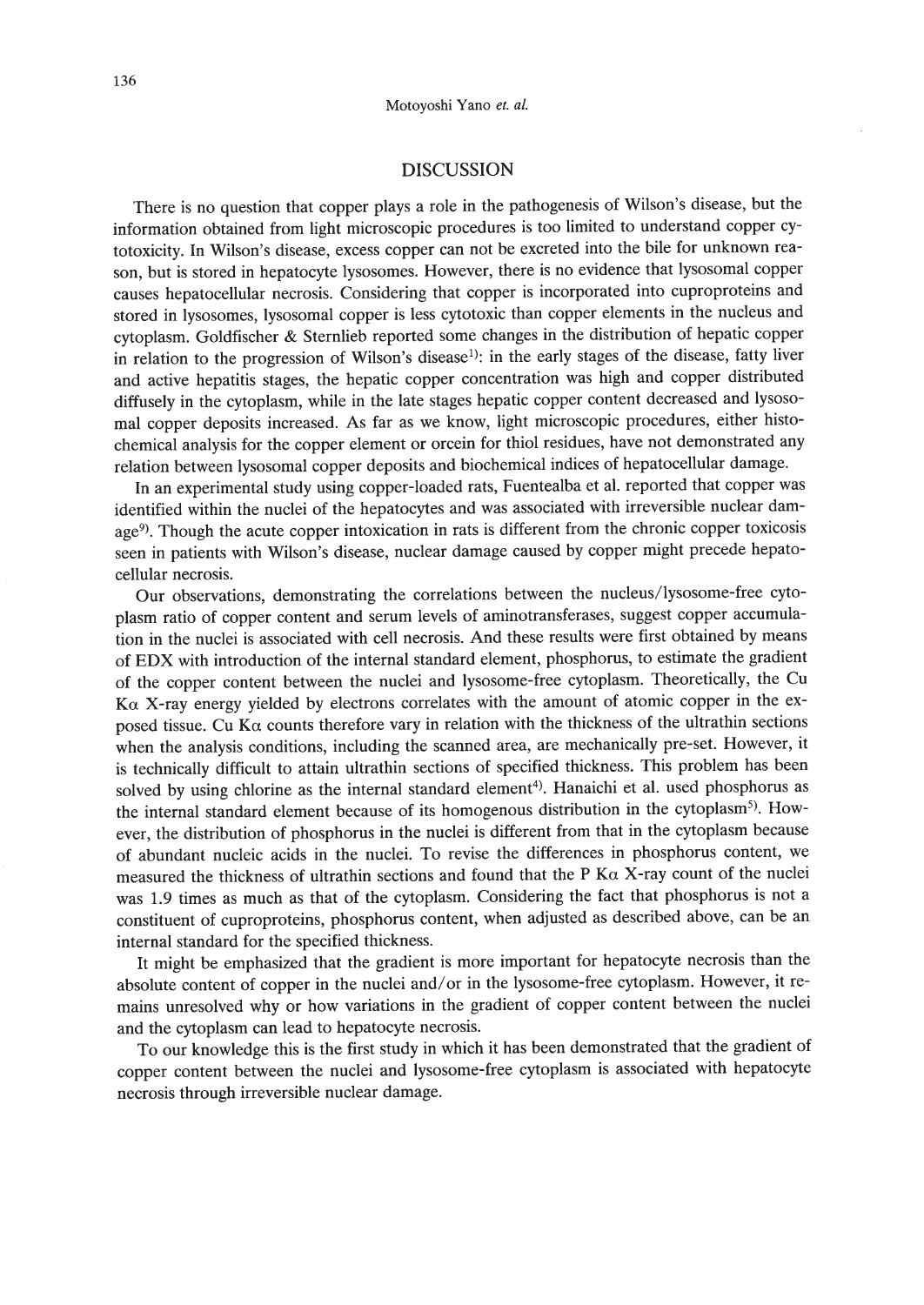## DISCUSSION

There is no question that copper plays a role in the pathogenesis of Wilson's disease, but the information obtained from light microscopic procedures is too limited to understand copper cytotoxicity. In Wilson's disease, excess copper can not be excreted into the bile for unknown reason, but is stored in hepatocyte lysosomes. However, there is no evidence that lysosomal copper causes hepatocellular necrosis. Considering that copper is incorporated into cuproproteins and stored in lysosomes, lysosomal copper is less cytotoxic than copper elements in the nucleus and cytoplasm. Goldfischer & Sternlieb reported some changes in the distribution of hepatic copper in relation to the progression of Wilson's disease<sup>1)</sup>: in the early stages of the disease, fatty liver and active hepatitis stages, the hepatic copper concentration was high and copper distributed diffusely in the cytoplasm, while in the late stages hepatic copper content decreased and lysosomal copper deposits increased. As far as we know, light microscopic procedures, either histochemical analysis for the copper element or orcein for thiol residues, have not demonstrated any relation between lysosomal copper deposits and biochemical indices of hepatocellular damage.

In an experimental study using copper-loaded rats, Fuentealba et al. reported that copper was identified within the nuclei of the hepatocytes and was associated with irreversible nuclear damage<sup>9</sup>). Though the acute copper intoxication in rats is different from the chronic copper toxicosis seen in patients with Wilson's disease, nuclear damage caused by copper might precede hepatocellular necrosis.

Our observations, demonstrating the correlations between the nucleus/lysosome-free cytoplasm ratio of copper content and serum levels of aminotransferases, suggest copper accumulation in the nuclei is associated with cell necrosis. And these results were first obtained by means of EDX with introduction of the internal standard element, phosphorus, to estimate the gradient of the copper content between the nuclei and lysosome-free cytoplasm. Theoretically, the Cu  $K\alpha$  X-ray energy yielded by electrons correlates with the amount of atomic copper in the exposed tissue. Cu K $\alpha$  counts therefore vary in relation with the thickness of the ultrathin sections when the analysis conditions, including the scanned area, are mechanically pre-set. However, it is technically difficult to attain ultrathin sections of specified thickness. This problem has been solved by using chlorine as the internal standard element<sup>4</sup>). Hanaichi et al. used phosphorus as the internal standard element because of its homogenous distribution in the cytoplasm<sup>5)</sup>. However, the distribution of phosphorus in the nuclei is different from that in the cytoplasm because of abundant nucleic acids in the nuclei. To revise the differences in phosphorus content, we measured the thickness of ultrathin sections and found that the P  $K\alpha$  X-ray count of the nuclei was 1.9 times as much as that of the cytoplasm. Considering the fact that phosphorus is not a constituent of cuproproteins, phosphorus content, when adjusted as described above, can be an internal standard for the specified thickness.

It might be emphasized that the gradient is more important for hepatocyte necrosis than the absolute content of copper in the nuclei and/or in the lysosome-free cytoplasm. However, it remains unresolved why or how variations in the gradient of copper content between the nuclei and the cytoplasm can lead to hepatocyte necrosis.

To our knowledge this is the first study in which it has been demonstrated that the gradient of copper content between the nuclei and lysosome-free cytoplasm is associated with hepatocyte necrosis through irreversible nuclear damage.